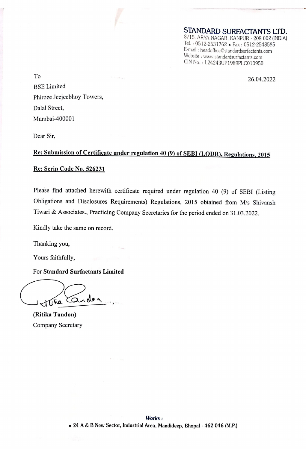STANDARD SURFACTANTS LTD. 8/15. ARYA NAGAR, KANPUR - 208 002 (INDIA) Tel. : 0512-2531762 « Fax : 0512-2548585 E-mail : headoffice@standardsurfactants.com CIN No. : L24243UP1989PLC010950

To 26.04.2022 BSE Limited Phiroze Jeejeebhoy Towers, Dalal Street, Mumbai-400001

Dear Sir,

## Re: Submission of Certificate under regulation 40 (9) of SEBI (LODR), Regulations, <sup>2015</sup>

## Re: Scrip Code No. 526231

Please find attached herewith certificate required under regulation 40 (9) of SEBI (Listing Obligations and Disclosures Requirements) Regulations, 2015 obtained from M/s Shivansh Tiwari & Associates., Practicing Company Secretaries for the period ended on 31.03.2022.

Kindly take the same on record.

Thanking you,

Yours faithfully,

For Standard Surfactants Limited<br>
Tina Conclon

(Ritika Tandon) Company Secretary